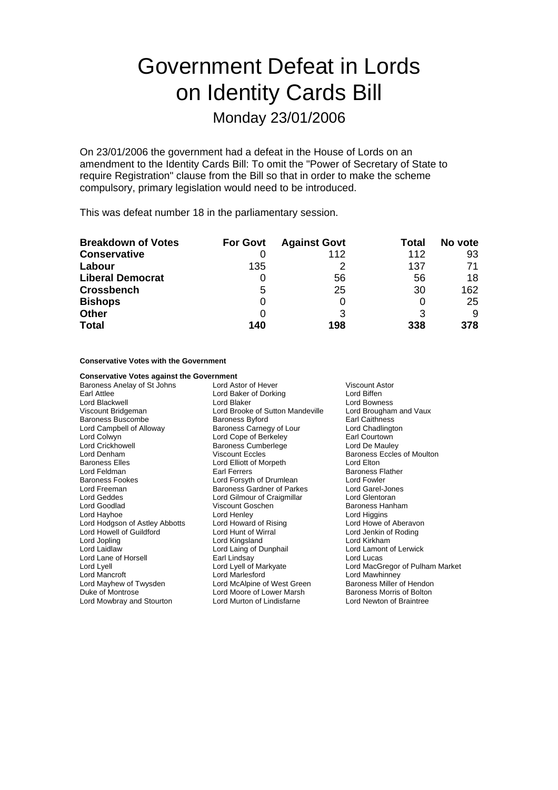# Government Defeat in Lords on Identity Cards Bill

## Monday 23/01/2006

On 23/01/2006 the government had a defeat in the House of Lords on an amendment to the Identity Cards Bill: To omit the "Power of Secretary of State to require Registration" clause from the Bill so that in order to make the scheme compulsory, primary legislation would need to be introduced.

This was defeat number 18 in the parliamentary session.

| <b>Breakdown of Votes</b> | <b>For Govt</b> | <b>Against Govt</b> | Total | No vote |
|---------------------------|-----------------|---------------------|-------|---------|
| <b>Conservative</b>       |                 | 112                 | 112   | 93      |
| Labour                    | 135             |                     | 137   | 71      |
| <b>Liberal Democrat</b>   | O               | 56                  | 56    | 18      |
| <b>Crossbench</b>         | 5               | 25                  | 30    | 162     |
| <b>Bishops</b>            | 0               |                     |       | 25      |
| <b>Other</b>              | 0               | 3                   | 3     | 9       |
| <b>Total</b>              | 140             | 198                 | 338   | 378     |

**Conservative Votes with the Government**

| <b>Conservative Votes against the Government</b> |                                  |                                 |  |
|--------------------------------------------------|----------------------------------|---------------------------------|--|
| Baroness Anelay of St Johns                      | Lord Astor of Hever              | Viscount Astor                  |  |
| Earl Attlee                                      | Lord Baker of Dorking            | Lord Biffen                     |  |
| Lord Blackwell                                   | Lord Blaker                      | Lord Bowness                    |  |
| Viscount Bridgeman                               | Lord Brooke of Sutton Mandeville | Lord Brougham and Vaux          |  |
| Baroness Buscombe                                | <b>Baroness Byford</b>           | <b>Earl Caithness</b>           |  |
| Lord Campbell of Alloway                         | Baroness Carnegy of Lour         | Lord Chadlington                |  |
| Lord Colwyn                                      | Lord Cope of Berkeley            | Earl Courtown                   |  |
| Lord Crickhowell                                 | <b>Baroness Cumberlege</b>       | Lord De Mauley                  |  |
| Lord Denham                                      | <b>Viscount Eccles</b>           | Baroness Eccles of Moulton      |  |
| <b>Baroness Elles</b>                            | Lord Elliott of Morpeth          | Lord Elton                      |  |
| Lord Feldman                                     | <b>Earl Ferrers</b>              | <b>Baroness Flather</b>         |  |
| <b>Baroness Fookes</b>                           | Lord Forsyth of Drumlean         | Lord Fowler                     |  |
| Lord Freeman                                     | Baroness Gardner of Parkes       | Lord Garel-Jones                |  |
| Lord Geddes                                      | Lord Gilmour of Craigmillar      | Lord Glentoran                  |  |
| Lord Goodlad                                     | Viscount Goschen                 | Baroness Hanham                 |  |
| Lord Hayhoe                                      | Lord Henley                      | Lord Higgins                    |  |
| Lord Hodgson of Astley Abbotts                   | Lord Howard of Rising            | Lord Howe of Aberavon           |  |
| Lord Howell of Guildford                         | Lord Hunt of Wirral              | Lord Jenkin of Roding           |  |
| Lord Jopling                                     | Lord Kingsland                   | Lord Kirkham                    |  |
| Lord Laidlaw                                     | Lord Laing of Dunphail           | Lord Lamont of Lerwick          |  |
| Lord Lane of Horsell                             | Earl Lindsay                     | Lord Lucas                      |  |
| Lord Lyell                                       | Lord Lyell of Markyate           | Lord MacGregor of Pulham Market |  |
| Lord Mancroft                                    | Lord Marlesford                  | Lord Mawhinney                  |  |
| Lord Mayhew of Twysden                           | Lord McAlpine of West Green      | Baroness Miller of Hendon       |  |
| Duke of Montrose                                 | Lord Moore of Lower Marsh        | Baroness Morris of Bolton       |  |
| Lord Mowbray and Stourton                        | Lord Murton of Lindisfarne       | Lord Newton of Braintree        |  |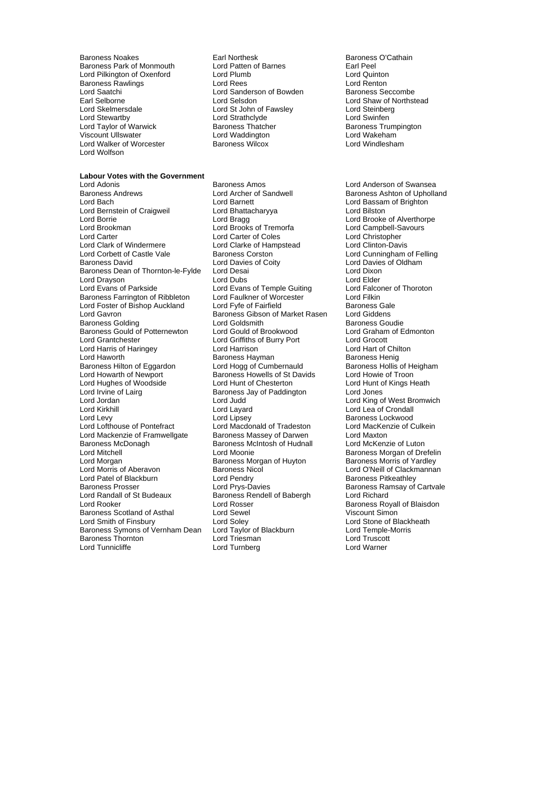Baroness Noakes **Earl Northesk** Earl Northesk Baroness O'Cathain<br>Baroness Park of Monmouth Lord Patten of Barnes **Earl Peel** Baroness Park of Monmouth Lord Patten of Barnes<br>
Lord Pilkington of Oxenford Lord Plumb<br>
Lord Pilkington of Oxenford Lord Plumb Lord Pilkington of Oxenford Lord Plumb Lord Quinton Baroness Rawlings **Communist Club Rees** Lord Rees Lord Renton<br>
Lord Saatchi **Lord Renton Lord Sanderson of Bowden** Baroness Seccombe Lord Saatchi Lord Sanderson of Bowden<br>Earl Selborne Secret Secret Lord Selsdon Earl Selborne **Lord Selsdon** Lord Selsdon **Lord Selsdon** Lord Shaw of Northstead<br>
Lord Skelmersdale **Lord St John of Fawsley** Lord Steinberg Lord Skelmersdale Lord St John of Fawsley Lord Steinber<br>
Lord Stevartby Lord Strathclyde Lord Strathclyde Lord Strathclyde Lord Strathclyde Lord Strathclyde Lord Strathclyde Lord Stewartby Lord Strathclyde<br>
Lord Taylor of Warwick Corp Baroness Thatcher Viscount Ullswater Lord Waddington Lord Wakeham Lord Walker of Worcester Lord Wolfson

### **Labour Votes with the Government**

Lord Bach Lord Barnett Lord Bassam of Brighton<br>
Lord Bernstein of Craigweil Lord Bhattacharvva<br>
Lord Bilston Lord Bilston Lord Bernstein of Craigweil Lord Bhatta<br>
Lord Borrie Cord Bilston Lord Borrie **Lord Bragg Lord Brooke of Alverthorpe**<br>
Lord Brookman **Lord Brooks of Tremorfa** Lord Campbell-Savours Lord Carter Coles Lord Carter of Coles<br>
Lord Clark of Windermere Lord Clarke of Hampstead Lord Clinton-Davis Lord Clark of Windermere<br>Lord Clarke of Hampstead Lord Clarke of Hampstead Lord Clarke of Hampstead Lord Clarke of Hampstead Lord Clarke Lord Corbett of Castle Vale **Baroness Corston Corpus** Lord Cunningham of Felling<br>Baroness David Lord Davies of Coity **Lord Davies of Oldham** Baroness Dean of Thornton-le-Fylde Lord Desai Lord Dixon Lord Drayson **Lord Dubs** Lord Dubs Lord Elder Lord Elder<br>
Lord Evans of Parkside Lord Evans of Temple Guiting Lord Falconer of Thoroton Baroness Farrington of Ribbleton Lord Faulkner of Worcester The Lord Filkin<br>Lord Foster of Bishop Auckland Lord Fvfe of Fairfield The Baroness Gale Lord Foster of Bishop Auckland Lord Fyfe of Fairfield Baroness Gale<br>Lord Gavron Baroness Gibson of Market Rasen Lord Giddens Baroness Golding **Communist Construction Construction** Lord Goldsmith **Baroness Goudie** Baroness Gould of Potternewton Lord Gould of Brookwood Lord Graham of Edmonton Lord Grantchester Lord Grantchester Lord Griffiths of Burry Port Lord Grocott<br>
Lord Harris of Harris of Harrison Lord Harrison Lord Harrison Lord Harrison Lord Harris of Haringey Lord Haworth **Baroness Hayman**<br>
Baroness Hilton of Eggardon **Baroness Holland Baroness Holland Baroness** Hollis of Heigham Baroness Hilton of Eggardon Lord Hogg of Cumbernauld Baroness Hollis of Heigham Baroness Hollis of Heigham Lord Howie of Troon Lord Hughes of Woodside Lord Irvine of Lairg **Baroness Jay of Paddington** Lord Jones<br>
Lord Jordan Lord Lord Judd<br>
Lord Jord King o Lord Jordan Lord Judd Lord Judd Lord Cord Lord King of West Bromwich<br>
Lord Kirkhill Lord Lord Lord Layard Lord Lord Lea of Crondall Lord Levy<br>
Lord Lord Lord Macdonald of Tradeston Lord MacKenzie of Culkein<br>
Lord Lofthouse of Pontefract Lord Macdonald of Tradeston Lord MacKenzie of Culkein Lord Mackenzie of Framwellgate Baroness Massey of Darwen Lord Maxton<br>Baroness McDonagh Baroness McIntosh of Hudnall Lord McKenzie of Luton Lord Mitchell Lord Moonie<br>
Lord Morgan Morgan Baroness Morgan of Huyton Baroness Morris of Yardley Lord Morgan<br>
Lord Morris of Aberavon<br>
Baroness Nicol<br>
Baroness Nicol Lord Morris of Aberavon **Baroness Nicol** Morris Charles Alexandrian Lord O'Neill of Clackmannan<br>
Lord O'Neill of Blackburn Lord O'Neill of Clackmannan Lord Patel of Blackburn **Lord Pendry** Communist Care Baroness Pitkeathley<br>
Baroness Prosser **Baroness Ramsay of** Lord Prys-Davies **Baroness Ramsay of** Baroness Prosser **Lord Prys-Davies** Baroness Ramsay of Cartvale<br>
Lord Randall of St Budeaux Baroness Rendell of Babergh Lord Richard Lord Rooker **Lord Rosser Baroness Royall of Blaisdon** Baroness Scotland of Asthal Lord Sewel Viscount Simon Baroness Symons of Vernham Dean Lord Taylor of Blackburn Lord Temple-<br>Baroness Symons of Vernham Dean Lord Taylor of Blackburn Lord Temple-<br>Baroness Thornton Lord Triesman Lord Triesman Baroness Thornton **Example 2** Lord Triesman **Lord Truscott Container Container Container** Lord Truscott Lord Turnberg Lord Turnberg Lord Tunnicliffe

Baroness Thatcher **Baroness Trumpington**<br> **Lord Waddington**<br>
Lord Wakeham

Lord Adonis<br>
Baroness Andrews
Baroness Andrews
Lord Archer of Sandwell
Baroness Ashton of Upholla
Lord Archer of Sandwell
Baroness Ashton of Upholla Lord Davies of Coity **Lord Davies of Oldham**<br>
Lord Desai **Lord Dixon** Lord Evans of Temple Guiting Exaroness Gibson of Market Rasen Lord Giddens<br>
Lord Goldsmith Baroness Goudie Express Howells of St Davids<br>
Lord Howie of Troon<br>
Lord Hunt of Kings Heath Lord Macdonald of Tradeston Lord MacKer<br>Baroness Massev of Darwen Lord Maxton Baroness McIntosh of Hudnall Baroness Rendell of Babergh Lord Richard Lord Soley<br>
Lord Taylor of Blackburn<br>
Lord Temple-Morris

Baroness Ashton of Upholland Lord Campbell-Savours Lord Lea of Crondall